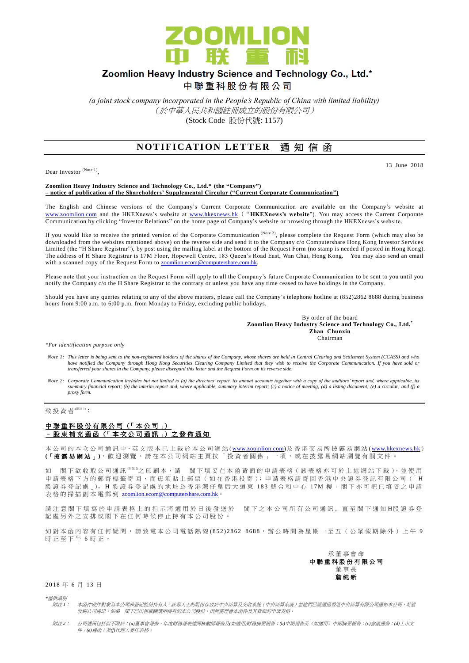

# Zoomlion Heavy Industry Science and Technology Co., Ltd.\*

中聯重科股份有限公司

*(a joint stock company incorporated in the People's Republic of China with limited liability)* (於中華人民共和國註冊成立的股份有限公司) (Stock Code 股份代號: 1157)

# **NOTIFICATION LETTER 通知信函**

Dear Investor (Note 1),

#### 13 June 2018

#### **Zoomlion Heavy Industry Science and Technology Co., Ltd.\* (the "Company") – notice of publication of the Shareholders' Supplemental Circular ("Current Corporate Communication")**

The English and Chinese versions of the Company's Current Corporate Communication are available on the Company's website at [www.zoomlion.com](http://www.zoomlion.com/) and the HKEXnews's website at [www.hkexnews.hk](http://www.hkexnews.hk/) ("**HKEXnews's website**"). You may access the Current Corporate Communication by clicking "Investor Relations" on the home page of Company's website or browsing through the HKEXnews's website.

If you would like to receive the printed version of the Corporate Communication  $^{(Note 2)}$ , please complete the Request Form (which may also be downloaded from the websites mentioned above) on the reverse side and send it to the Company c/o Computershare Hong Kong Investor Services Limited (the "H Share Registrar"), by post using the mailing label at the bottom of the Request Form (no stamp is needed if posted in Hong Kong). The address of H Share Registrar is 17M Floor, Hopewell Centre, 183 Queen's Road East, Wan Chai, Hong Kong. You may also send an email with a scanned copy of the Request Form to **zoomlion.ecom@computershare.com.hk.** 

Please note that your instruction on the Request Form will apply to all the Company's future Corporate Communication to be sent to you until you notify the Company c/o the H Share Registrar to the contrary or unless you have any time ceased to have holdings in the Company.

Should you have any queries relating to any of the above matters, please call the Company's telephone hotline at (852)2862 8688 during business hours from 9:00 a.m. to 6:00 p.m. from Monday to Friday, excluding public holidays.

> By order of the board **Zoomlion Heavy Industry Science and Technology Co., Ltd.\* Zhan Chunxin** Chairman

*\*For identification purpose only*

- *Note 1: This letter is being sent to the non-registered holders of the shares of the Company, whose shares are held in Central Clearing and Settlement System (CCASS) and who*  have notified the Company through Hong Kong Securities Clearing Company Limited that they wish to receive the Corporate Communication. If you have sold or<br>transferred your shares in the Company, please disregard this lette
- *Note 2: Corporate Communication includes but not limited to (a) the directors' report, its annual accounts together with a copy of the auditors' report and, where applicable, its summary financial report; (b) the interim report and, where applicable, summary interim report; (c) a notice of meeting; (d) a listing document; (e) a circular; and (f) a proxy form.*

致投資者<sup>(附註1)</sup>:

### 中聯重科股份有限公司 (「本公司」) – 股 東 補 充 通 函 (「 本 次 公 司 通 訊 」) 之 發 佈 通 知

本公司的 本 次 公 司 通 訊 中、英 文 版 本 已 上 載於本 公 司 網 站 [\(www.zoomlion.com\)](http://www.zoomlion.com/)及香港交易所披露易網站 [\(www.hkexnews.hk](http://www.hkexnews.hk/)) **(**「披露易網站 」**)**,歡迎瀏覽。 請 在 本 公 司 網 站 主 頁 按 「 投 資 者 關 係 」 一 項 , 或 在 披 露 易 網 站 瀏 覽 有 關 文 件 。

如 閣下欲收取公司通訊<sup>《##2</sup>之印刷本,請 閣下填妥在本函背面的申請表格(該表格亦可於上述網站下載),並使用 申請表格下方的郵寄標籤寄回,而毋須貼上郵票(如在香港投寄);申請表格請寄回香港中央證券登記有限公司(「H 股證券登記處 心。H 股證券登記處的地址為香港灣仔皇后大道東 183號合和中心 17M 樓。閣下亦可把已填妥之申請 表格的掃描副本電郵到 [zoomlion.ecom@computershare.com.hk](mailto:zoomlion.ecom@computershare.com.hk)

請注 意 閣 下 填 寫 於 申 請 表 格 上 的 指 示 將 適 用 於 日 後 發 送 於 图 下 之 本 公 司 所 有 公 司 通 訊 , 直 至 閣 下 通 知 H股 證 券 登 記處另外之安排或閣下在任何時候停止持有本公司股份。

如對本函內容有任何疑問,請致電本公司電話熱線 (852) 2862 8688,辦公時間為星期一至五(公眾假期除外)上午 9 時正至下午 6 時正。



2018 年 6 月 13 日

*\**僅供識別

- 附註 *1*: 本函件收件對象為本公司非登記股份持有人。該等人士的股份存放於中央結算及交收系統(中央結算系統)並他們已經通過香港中央結算有限公司通知本公司,希望 收到公司通訊。如果 閣下已出售或轉讓所持有的本公司股份,則無需理會本函件及其背面的申請表格。
- 附註 *2*: 公司通訊包括但不限於:*(a)*董事會報告、年度財務報表連同核數師報告及*(*如適用*)*財務摘要報告;*(b)*中期報告及(如適用)中期摘要報告;*(c)*會議通告;*(d)*上市文 件;*(e)*通函;及*(f)*代理人委任表格。